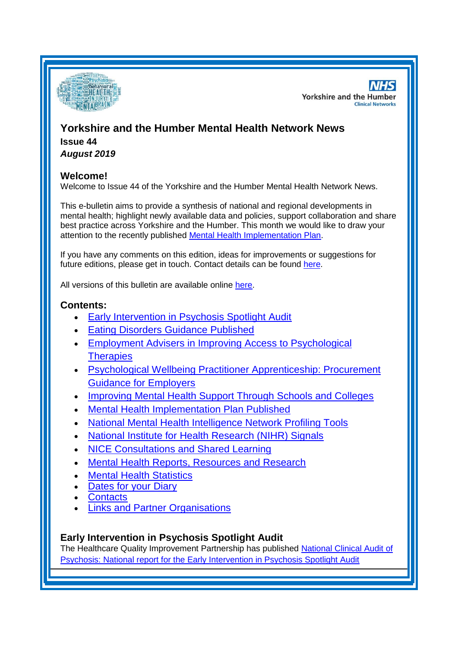

**NHS Yorkshire and the Humber Clinical Networks** 

# **Yorkshire and the Humber Mental Health Network News Issue 44** *August 2019*

## **Welcome!**

Welcome to Issue 44 of the Yorkshire and the Humber Mental Health Network News.

This e-bulletin aims to provide a synthesis of national and regional developments in mental health; highlight newly available data and policies, support collaboration and share best practice across Yorkshire and the Humber. This month we would like to draw your attention to the recently published [Mental Health Implementation Plan.](#page-2-0)

If you have any comments on this edition, ideas for improvements or suggestions for future editions, please get in touch. Contact details can be found [here.](#page-6-0)

All versions of this bulletin are available online [here.](http://www.yhscn.nhs.uk/mental-health-clinic/mental-health-network/MH-documents-and-links.php)

## **Contents:**

- [Early Intervention in Psychosis Spotlight Audit](#page-0-0)
- **Eating Disorders [Guidance Published](#page-1-0)**
- Employment Advisers in Improving Access to Psychological **[Therapies](#page-1-0)**
- [Psychological Wellbeing Practitioner Apprenticeship: Procurement](#page-1-1)  [Guidance for Employers](#page-1-1)
- [Improving Mental Health Support Through Schools and Colleges](#page-1-2)
- [Mental Health Implementation Plan Published](#page-2-0)
- [National Mental Health Intelligence Network Profiling Tools](#page-0-0)
- [National Institute for Health Research \(NIHR\) Signals](#page-2-1)
- NICE Consultations and Shared Learning
- [Mental Health Reports, Resources and Research](#page-2-1)
- **[Mental Health Statistics](#page-5-0)**
- [Dates for your Diary](#page-5-1)
- **[Contacts](#page-6-0)**
- [Links and Partner Organisations](#page-7-0)

## <span id="page-0-0"></span>**Early Intervention in Psychosis Spotlight Audit**

The Healthcare Quality Improvement Partnership has published [National Clinical Audit of](https://www.hqip.org.uk/resource/national-report-for-the-early-intervention-in-psychosis-spotlight-audit-2018-2019/#.XUvulI5KhaQ)  [Psychosis: National report for the Early Intervention in Psychosis Spotlight Audit](https://www.hqip.org.uk/resource/national-report-for-the-early-intervention-in-psychosis-spotlight-audit-2018-2019/#.XUvulI5KhaQ)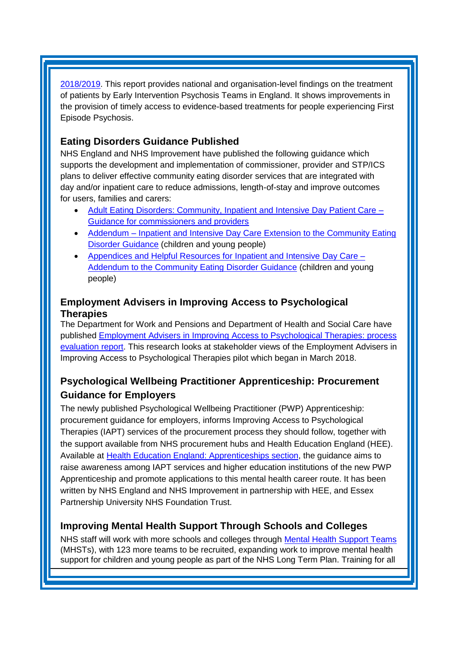[2018/2019.](https://www.hqip.org.uk/resource/national-report-for-the-early-intervention-in-psychosis-spotlight-audit-2018-2019/#.XUvulI5KhaQ) This report provides national and organisation-level findings on the treatment of patients by Early Intervention Psychosis Teams in England. It shows improvements in the provision of timely access to evidence-based treatments for people experiencing First Episode Psychosis.

# **Eating Disorders Guidance Published**

NHS England and NHS Improvement have published the following guidance which supports the development and implementation of commissioner, provider and STP/ICS plans to deliver effective community eating disorder services that are integrated with day and/or inpatient care to reduce admissions, length-of-stay and improve outcomes for users, families and carers:

- [Adult Eating Disorders: Community, Inpatient and Intensive Day Patient Care –](https://www.england.nhs.uk/publication/adult-eating-disorders-community-inpatient-and-intensive-day-patient-care-guidance-for-commissioners-and-providers/) [Guidance for commissioners and providers](https://www.england.nhs.uk/publication/adult-eating-disorders-community-inpatient-and-intensive-day-patient-care-guidance-for-commissioners-and-providers/)
- Addendum Inpatient and Intensive Day Care Extension to the Community Eating [Disorder Guidance](https://www.england.nhs.uk/publication/addendum-inpatient-and-intensive-day-care-extension-to-the-community-eating-disorder-guidance/) (children and young people)
- [Appendices and Helpful Resources for Inpatient and Intensive Day Care –](https://www.england.nhs.uk/publication/appendices-and-helpful-resources-for-inpatient-and-intensive-day-care-addendum-to-the-community-eating-disorder-guidance/) [Addendum to the Community Eating Disorder Guidance](https://www.england.nhs.uk/publication/appendices-and-helpful-resources-for-inpatient-and-intensive-day-care-addendum-to-the-community-eating-disorder-guidance/) (children and young people)

## <span id="page-1-0"></span>**Employment Advisers in Improving Access to Psychological Therapies**

The Department for Work and Pensions and Department of Health and Social Care have published [Employment Advisers in Improving Access to Psychological Therapies: process](https://www.gov.uk/government/publications/employment-advisers-in-improving-access-to-psychological-therapies-process-evaluation-report)  [evaluation report.](https://www.gov.uk/government/publications/employment-advisers-in-improving-access-to-psychological-therapies-process-evaluation-report) This research looks at stakeholder views of the Employment Advisers in Improving Access to Psychological Therapies pilot which began in March 2018.

# <span id="page-1-1"></span>**Psychological Wellbeing Practitioner Apprenticeship: Procurement Guidance for Employers**

The newly published Psychological Wellbeing Practitioner (PWP) Apprenticeship: procurement guidance for employers, informs Improving Access to Psychological Therapies (IAPT) services of the procurement process they should follow, together with the support available from NHS procurement hubs and Health Education England (HEE). Available at [Health Education England: Apprenticeships section,](https://ccgbulletin.cmail19.com/t/d-l-pujhyil-cdyegjt-u/) the guidance aims to raise awareness among IAPT services and higher education institutions of the new PWP Apprenticeship and promote applications to this mental health career route. It has been written by NHS England and NHS Improvement in partnership with HEE, and Essex Partnership University NHS Foundation Trust.

# <span id="page-1-2"></span>**Improving Mental Health Support Through Schools and Colleges**

NHS staff will work with more schools and colleges through [Mental Health Support Teams](https://ccgbulletin.cmail19.com/t/d-l-pujhyil-cdyegjt-i/) (MHSTs), with 123 more teams to be recruited, expanding work to improve mental health support for children and young people as part of the NHS Long Term Plan. Training for all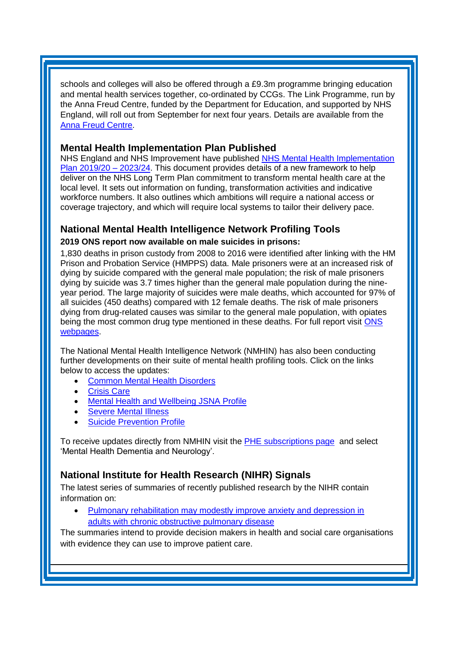schools and colleges will also be offered through a £9.3m programme bringing education and mental health services together, co-ordinated by CCGs. The Link Programme, run by the Anna Freud Centre, funded by the Department for Education, and supported by NHS England, will roll out from September for next four years. Details are available from the [Anna Freud Centre.](https://ccgbulletin.cmail19.com/t/d-l-pujhyil-cdyegjt-d/)

#### <span id="page-2-0"></span>**Mental Health Implementation Plan Published**

NHS England and NHS Improvement have published [NHS Mental Health Implementation](https://www.longtermplan.nhs.uk/publication/nhs-mental-health-implementation-plan-2019-20-2023-24/)  [Plan 2019/20 –](https://www.longtermplan.nhs.uk/publication/nhs-mental-health-implementation-plan-2019-20-2023-24/) 2023/24. This document provides details of a new framework to help deliver on the NHS Long Term Plan commitment to transform mental health care at the local level. It sets out information on funding, transformation activities and indicative workforce numbers. It also outlines which ambitions will require a national access or coverage trajectory, and which will require local systems to tailor their delivery pace.

## **National Mental Health Intelligence Network Profiling Tools 2019 ONS report now available on male suicides in prisons:**

1,830 deaths in prison custody from 2008 to 2016 were identified after linking with the HM Prison and Probation Service (HMPPS) data. Male prisoners were at an increased risk of dying by suicide compared with the general male population; the risk of male prisoners dying by suicide was 3.7 times higher than the general male population during the nineyear period. The large majority of suicides were male deaths, which accounted for 97% of all suicides (450 deaths) compared with 12 female deaths. The risk of male prisoners dying from drug-related causes was similar to the general male population, with opiates being the most common drug type mentioned in these deaths. For full report visit [ONS](http://links.govdelivery.com/track?type=click&enid=ZWFzPTEmbXNpZD0mYXVpZD0mbWFpbGluZ2lkPTIwMTkwODA3Ljg4NjQzMjEmbWVzc2FnZWlkPU1EQi1QUkQtQlVMLTIwMTkwODA3Ljg4NjQzMjEmZGF0YWJhc2VpZD0xMDAxJnNlcmlhbD0xNzEyODEyOCZlbWFpbGlkPXNhcmFoLmJvdWxAbmhzLm5ldCZ1c2VyaWQ9c2FyYWguYm91bEBuaHMubmV0JnRhcmdldGlkPSZmbD0mZXh0cmE9TXVsdGl2YXJpYXRlSWQ9JiYm&&&104&&&https://www.ons.gov.uk/peoplepopulationandcommunity/birthsdeathsandmarriages/deaths/articles/drugrelateddeathsandsuicideinprisoncustodyinenglandandwales/2008to2016)  [webpages.](http://links.govdelivery.com/track?type=click&enid=ZWFzPTEmbXNpZD0mYXVpZD0mbWFpbGluZ2lkPTIwMTkwODA3Ljg4NjQzMjEmbWVzc2FnZWlkPU1EQi1QUkQtQlVMLTIwMTkwODA3Ljg4NjQzMjEmZGF0YWJhc2VpZD0xMDAxJnNlcmlhbD0xNzEyODEyOCZlbWFpbGlkPXNhcmFoLmJvdWxAbmhzLm5ldCZ1c2VyaWQ9c2FyYWguYm91bEBuaHMubmV0JnRhcmdldGlkPSZmbD0mZXh0cmE9TXVsdGl2YXJpYXRlSWQ9JiYm&&&104&&&https://www.ons.gov.uk/peoplepopulationandcommunity/birthsdeathsandmarriages/deaths/articles/drugrelateddeathsandsuicideinprisoncustodyinenglandandwales/2008to2016)

The National Mental Health Intelligence Network (NMHIN) has also been conducting further developments on their suite of mental health profiling tools. Click on the links below to access the updates:

- [Common Mental Health Disorders](http://links.govdelivery.com/track?type=click&enid=ZWFzPTEmbXNpZD0mYXVpZD0mbWFpbGluZ2lkPTIwMTcxMjA1LjgxOTE2MDgxJm1lc3NhZ2VpZD1NREItUFJELUJVTC0yMDE3MTIwNS44MTkxNjA4MSZkYXRhYmFzZWlkPTEwMDEmc2VyaWFsPTE2OTcwMTE4JmVtYWlsaWQ9c2FyYWguYm91bEBuaHMubmV0JnVzZXJpZD1zYXJhaC5ib3VsQG5ocy5uZXQmdGFyZ2V0aWQ9JmZsPSZleHRyYT1NdWx0aXZhcmlhdGVJZD0mJiY=&&&104&&&https://fingertips.phe.org.uk/profile-group/mental-health/profile/common-mental-disorders)
- **[Crisis Care](http://links.govdelivery.com/track?type=click&enid=ZWFzPTEmbXNpZD0mYXVpZD0mbWFpbGluZ2lkPTIwMTcxMjA1LjgxOTE2MDgxJm1lc3NhZ2VpZD1NREItUFJELUJVTC0yMDE3MTIwNS44MTkxNjA4MSZkYXRhYmFzZWlkPTEwMDEmc2VyaWFsPTE2OTcwMTE4JmVtYWlsaWQ9c2FyYWguYm91bEBuaHMubmV0JnVzZXJpZD1zYXJhaC5ib3VsQG5ocy5uZXQmdGFyZ2V0aWQ9JmZsPSZleHRyYT1NdWx0aXZhcmlhdGVJZD0mJiY=&&&105&&&https://fingertips.phe.org.uk/profile-group/mental-health/profile/crisis-care)**
- [Mental Health and Wellbeing JSNA Profile](http://links.govdelivery.com/track?type=click&enid=ZWFzPTEmbXNpZD0mYXVpZD0mbWFpbGluZ2lkPTIwMTcxMjA1LjgxOTE2MDgxJm1lc3NhZ2VpZD1NREItUFJELUJVTC0yMDE3MTIwNS44MTkxNjA4MSZkYXRhYmFzZWlkPTEwMDEmc2VyaWFsPTE2OTcwMTE4JmVtYWlsaWQ9c2FyYWguYm91bEBuaHMubmV0JnVzZXJpZD1zYXJhaC5ib3VsQG5ocy5uZXQmdGFyZ2V0aWQ9JmZsPSZleHRyYT1NdWx0aXZhcmlhdGVJZD0mJiY=&&&106&&&https://fingertips.phe.org.uk/profile-group/mental-health/profile/mh-jsna)
- [Severe Mental](http://links.govdelivery.com/track?type=click&enid=ZWFzPTEmbXNpZD0mYXVpZD0mbWFpbGluZ2lkPTIwMTcxMjA1LjgxOTE2MDgxJm1lc3NhZ2VpZD1NREItUFJELUJVTC0yMDE3MTIwNS44MTkxNjA4MSZkYXRhYmFzZWlkPTEwMDEmc2VyaWFsPTE2OTcwMTE4JmVtYWlsaWQ9c2FyYWguYm91bEBuaHMubmV0JnVzZXJpZD1zYXJhaC5ib3VsQG5ocy5uZXQmdGFyZ2V0aWQ9JmZsPSZleHRyYT1NdWx0aXZhcmlhdGVJZD0mJiY=&&&108&&&https://fingertips.phe.org.uk/profile-group/mental-health/profile/severe-mental-illness) Illness
- **[Suicide Prevention Profile](http://links.govdelivery.com/track?type=click&enid=ZWFzPTEmbXNpZD0mYXVpZD0mbWFpbGluZ2lkPTIwMTgwNjA1LjkwNzEwNzExJm1lc3NhZ2VpZD1NREItUFJELUJVTC0yMDE4MDYwNS45MDcxMDcxMSZkYXRhYmFzZWlkPTEwMDEmc2VyaWFsPTE3MDEzODU4JmVtYWlsaWQ9c2FyYWguYm91bEBuaHMubmV0JnVzZXJpZD1zYXJhaC5ib3VsQG5ocy5uZXQmdGFyZ2V0aWQ9JmZsPSZleHRyYT1NdWx0aXZhcmlhdGVJZD0mJiY=&&&104&&&https://fingertips.phe.org.uk/profile-group/mental-health/profile/suicide)**

To receive updates directly from NMHIN visit the **PHE subscriptions page** and select 'Mental Health Dementia and Neurology'.

## <span id="page-2-1"></span>**National Institute for Health Research (NIHR) Signals**

The latest series of summaries of recently published research by the NIHR contain information on:

• [Pulmonary rehabilitation may modestly improve anxiety and depression in](https://discover.dc.nihr.ac.uk/content/signal-000794/copd-rehabilitation-may-improve-anxiety-and-depression)  [adults with chronic obstructive pulmonary disease](https://discover.dc.nihr.ac.uk/content/signal-000794/copd-rehabilitation-may-improve-anxiety-and-depression)

The summaries intend to provide decision makers in health and social care organisations with evidence they can use to improve patient care.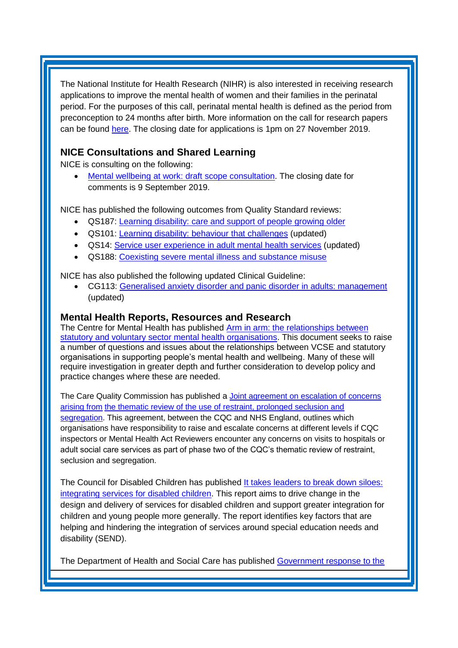The National Institute for Health Research (NIHR) is also interested in receiving research applications to improve the mental health of women and their families in the perinatal period. For the purposes of this call, perinatal mental health is defined as the period from preconception to 24 months after birth. More information on the call for research papers can be found [here.](https://www.nihr.ac.uk/documents/1994-perinatal-mental-health-commissioning-brief/21519) The closing date for applications is 1pm on 27 November 2019.

# **NICE Consultations and Shared Learning**

NICE is consulting on the following:

[Mental wellbeing at work: draft scope consultation.](https://www.nice.org.uk/guidance/indevelopment/gid-ng10140/consultation/html-content) The closing date for comments is 9 September 2019.

NICE has published the following outcomes from Quality Standard reviews:

- QS187: [Learning disability: care and support of people growing older](https://www.nice.org.uk/guidance/qs187)
- QS101: [Learning disability: behaviour that challenges](https://www.nice.org.uk/guidance/qs101) (updated)
- QS14: [Service user experience in adult mental health services](https://www.nice.org.uk/guidance/qs14) (updated)
- QS188: [Coexisting severe mental illness and substance misuse](https://www.nice.org.uk/guidance/qs188)

NICE has also published the following updated Clinical Guideline:

• CG113: [Generalised anxiety disorder and panic disorder in adults: management](https://www.nice.org.uk/guidance/cg113) (updated)

#### **Mental Health Reports, Resources and Research**

The Centre for Mental Health has published [Arm in arm: the relationships between](https://www.centreformentalhealth.org.uk/arm-in-arm)  [statutory and voluntary sector mental health organisations.](https://www.centreformentalhealth.org.uk/arm-in-arm) This document seeks to raise a number of questions and issues about the relationships between VCSE and statutory organisations in supporting people's mental health and wellbeing. Many of these will require investigation in greater depth and further consideration to develop policy and practice changes where these are needed.

The Care Quality Commission has published a [Joint agreement on escalation of concerns](https://www.cqc.org.uk/news/stories/update-phase-two-our-thematic-review-restraint-seclusion-segregation)  [arising from](https://www.cqc.org.uk/news/stories/update-phase-two-our-thematic-review-restraint-seclusion-segregation) [the thematic review of the use of restraint, prolonged seclusion and](https://www.cqc.org.uk/news/stories/update-phase-two-our-thematic-review-restraint-seclusion-segregation)  [segregation.](https://www.cqc.org.uk/news/stories/update-phase-two-our-thematic-review-restraint-seclusion-segregation) This agreement, between the CQC and NHS England, outlines which organisations have responsibility to raise and escalate concerns at different levels if CQC inspectors or Mental Health Act Reviewers encounter any concerns on visits to hospitals or adult social care services as part of phase two of the CQC's thematic review of restraint, seclusion and segregation.

The Council for Disabled Children has published [It takes leaders to break down siloes:](https://councilfordisabledchildren.org.uk/help-resources/resources/it-takes-leaders-break-down-siloes-cdcs-new-report-integrating-services)  [integrating services for disabled children.](https://councilfordisabledchildren.org.uk/help-resources/resources/it-takes-leaders-break-down-siloes-cdcs-new-report-integrating-services) This report aims to drive change in the design and delivery of services for disabled children and support greater integration for children and young people more generally. The report identifies key factors that are helping and hindering the integration of services around special education needs and disability (SEND).

The Department of Health and Social Care has published [Government response to the](https://www.gov.uk/government/publications/pacac-inquiry-into-eating-disorders-government-response)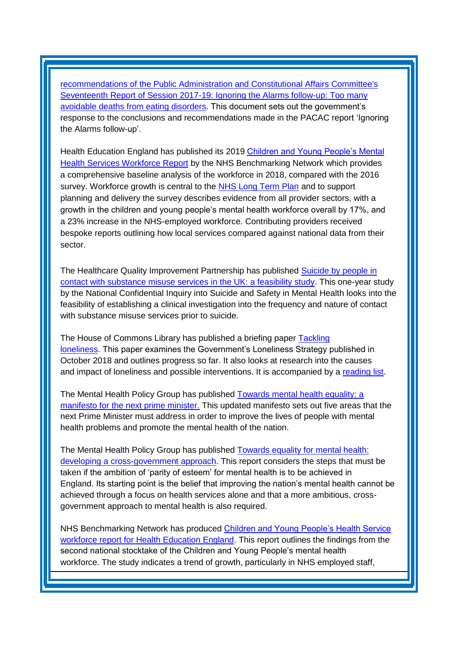[recommendations of the Public Administration and Constitutional Affairs Committee's](https://www.gov.uk/government/publications/pacac-inquiry-into-eating-disorders-government-response)  [Seventeenth Report of Session 2017-19: Ignoring the Alarms follow-up: Too many](https://www.gov.uk/government/publications/pacac-inquiry-into-eating-disorders-government-response)  [avoidable deaths from eating disorders.](https://www.gov.uk/government/publications/pacac-inquiry-into-eating-disorders-government-response) This document sets out the government's response to the conclusions and recommendations made in the PACAC report 'Ignoring the Alarms follow-up'.

Health Education England has published its 2019 [Children and Young People's Mental](https://ccgbulletin.cmail19.com/t/d-l-xllwlk-cdyegjt-k/)  [Health Services Workforce Report](https://ccgbulletin.cmail19.com/t/d-l-xllwlk-cdyegjt-k/) by the NHS Benchmarking Network which provides a comprehensive baseline analysis of the workforce in 2018, compared with the 2016 survey. Workforce growth is central to the [NHS Long Term Plan](https://ccgbulletin.cmail19.com/t/d-l-xllwlk-cdyegjt-u/) and to support planning and delivery the survey describes evidence from all provider sectors, with a growth in the children and young people's mental health workforce overall by 17%, and a 23% increase in the NHS-employed workforce. Contributing providers received bespoke reports outlining how local services compared against national data from their sector.

The Healthcare Quality Improvement Partnership has published [Suicide by people in](https://www.hqip.org.uk/resource/suicide-by-people-in-contact-with-substance-misuse-services-in-the-uk-a-feasibility-study/#.XVEj7N5KhaQ)  [contact with substance misuse services in the UK: a feasibility study.](https://www.hqip.org.uk/resource/suicide-by-people-in-contact-with-substance-misuse-services-in-the-uk-a-feasibility-study/#.XVEj7N5KhaQ) This one-year study by the National Confidential Inquiry into Suicide and Safety in Mental Health looks into the feasibility of establishing a clinical investigation into the frequency and nature of contact with substance misuse services prior to suicide.

The House of Commons Library has published a briefing paper **Tackling** [loneliness.](https://researchbriefings.parliament.uk/ResearchBriefing/Summary/CBP-8514) This paper examines the Government's Loneliness Strategy published in October 2018 and outlines progress so far. It also looks at research into the causes and impact of loneliness and possible interventions. It is accompanied by a [reading list.](https://researchbriefings.parliament.uk/ResearchBriefing/Summary/CBP-8632)

The Mental Health Policy Group has published [Towards mental health equality: a](https://www.nhsconfed.org/resources/2019/07/mhpg-manifesto-for-better-mental-health-2019)  [manifesto for the next prime minister.](https://www.nhsconfed.org/resources/2019/07/mhpg-manifesto-for-better-mental-health-2019) This updated manifesto sets out five areas that the next Prime Minister must address in order to improve the lives of people with mental health problems and promote the mental health of the nation.

The Mental Health Policy Group has published [Towards equality for mental health:](https://www.mentalhealth.org.uk/publications/towards-equality-mental-health-developing-cross-government-approach)  [developing a cross-government approach.](https://www.mentalhealth.org.uk/publications/towards-equality-mental-health-developing-cross-government-approach) This report considers the steps that must be taken if the ambition of 'parity of esteem' for mental health is to be achieved in England. Its starting point is the belief that improving the nation's mental health cannot be achieved through a focus on health services alone and that a more ambitious, crossgovernment approach to mental health is also required.

NHS Benchmarking Network has produced [Children and Young People's Health Service](https://healtheducationengland.sharepoint.com/Comms/Digital/Shared%20Documents/Forms/AllItems.aspx?id=%2FComms%2FDigital%2FShared%20Documents%2Fhee%2Enhs%2Euk%20documents%2FWebsite%20files%2FMental%20health%2FChildren%20and%20Young%20people%2FCYPMH%20Benchmarking%20Report%20%2Epdf&parent=%2FComms%2FDigital%2FShared%20Documents%2Fhee%2Enhs%2Euk%20documents%2FWebsite%20files%2FMental%20health%2FChildren%20and%20Young%20people&p=true&cid=d053ed79-4622-4f5d-a1f7-6942e9edfebc)  [workforce report for Health Education England.](https://healtheducationengland.sharepoint.com/Comms/Digital/Shared%20Documents/Forms/AllItems.aspx?id=%2FComms%2FDigital%2FShared%20Documents%2Fhee%2Enhs%2Euk%20documents%2FWebsite%20files%2FMental%20health%2FChildren%20and%20Young%20people%2FCYPMH%20Benchmarking%20Report%20%2Epdf&parent=%2FComms%2FDigital%2FShared%20Documents%2Fhee%2Enhs%2Euk%20documents%2FWebsite%20files%2FMental%20health%2FChildren%20and%20Young%20people&p=true&cid=d053ed79-4622-4f5d-a1f7-6942e9edfebc) This report outlines the findings from the second national stocktake of the Children and Young People's mental health workforce. The study indicates a trend of growth, particularly in NHS employed staff,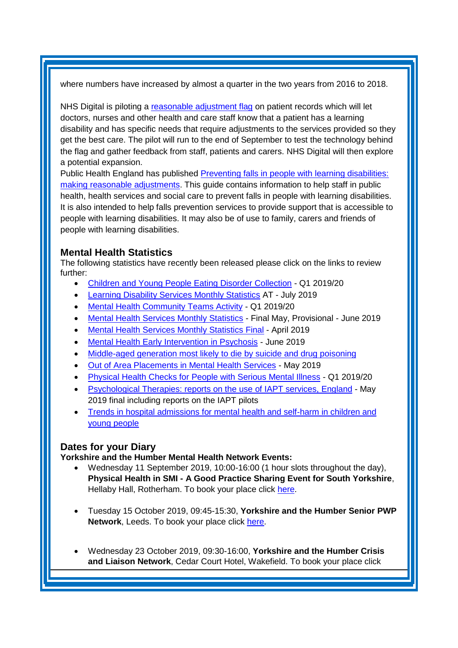where numbers have increased by almost a quarter in the two years from 2016 to 2018.

NHS Digital is piloting a [reasonable adjustment flag](https://digital.nhs.uk/news-and-events/latest-news/reasonable-adjustments-flagging) on patient records which will let doctors, nurses and other health and care staff know that a patient has a learning disability and has specific needs that require adjustments to the services provided so they get the best care. The pilot will run to the end of September to test the technology behind the flag and gather feedback from staff, patients and carers. NHS Digital will then explore a potential expansion.

Public Health England has published [Preventing falls in people with learning disabilities:](https://www.gov.uk/government/publications/preventing-falls-in-people-with-learning-disabilities)  [making reasonable adjustments.](https://www.gov.uk/government/publications/preventing-falls-in-people-with-learning-disabilities) This guide contains information to help staff in public health, health services and social care to prevent falls in people with learning disabilities. It is also intended to help falls prevention services to provide support that is accessible to people with learning disabilities. It may also be of use to family, carers and friends of people with learning disabilities.

## <span id="page-5-0"></span>**Mental Health Statistics**

The following statistics have recently been released please click on the links to review further:

- <span id="page-5-1"></span>• [Children and Young People Eating Disorder Collection](https://www.gov.uk/government/statistics/children-and-young-people-eating-disorder-collection-q1-201920) - Q1 2019/20
- [Learning Disability Services Monthly Statistics](https://digital.nhs.uk/data-and-information/publications/statistical/learning-disability-services-statistics/provisional-statistics-at-july-2019-mhsds-may-2019-final) AT July 2019
- [Mental Health Community Teams Activity](https://www.gov.uk/government/statistics/mental-health-community-teams-activity-q1-201920) Q1 2019/20
- [Mental Health Services Monthly Statistics](https://digital.nhs.uk/data-and-information/publications/statistical/mental-health-services-monthly-statistics/final-may-provisional-june-2019) Final May, Provisional June 2019
- [Mental Health Services Monthly Statistics Final](https://digital.nhs.uk/data-and-information/publications/statistical/mental-health-services-monthly-statistics/final-april-provisional-may-2019) April 2019
- [Mental Health Early Intervention in Psychosis](https://www.gov.uk/government/statistics/mental-health-early-intervention-in-psychosis-for-june-2019) June 2019
- [Middle-aged generation most likely to die by suicide and drug poisoning](https://www.ons.gov.uk/releases/middleagedgenerationmostlikelytodiebysuicideanddrugpoisoning)
- [Out of Area Placements in Mental Health Services](https://digital.nhs.uk/data-and-information/publications/statistical/out-of-area-placements-in-mental-health-services/may-2019) May 2019
- [Physical Health Checks for People with Serious Mental Illness](https://www.gov.uk/government/statistics/physical-health-checks-for-people-with-serious-mental-illness) Q1 2019/20
- [Psychological Therapies: reports on the use](https://www.gov.uk/government/statistics/psychological-therapies-reports-on-the-use-of-iapt-services-england-may-2019-final-including-reports-on-the-iapt-pilots) of IAPT services, England May 2019 final including reports on the IAPT pilots
- [Trends in hospital admissions for mental health and self-harm in children and](https://www.gov.uk/government/publications/mental-health-and-self-harm-in-children-and-young-people)  [young people](https://www.gov.uk/government/publications/mental-health-and-self-harm-in-children-and-young-people)

#### **Dates for your Diary**

**Yorkshire and the Humber Mental Health Network Events:**

- Wednesday 11 September 2019, 10:00-16:00 (1 hour slots throughout the day), **Physical Health in SMI - A Good Practice Sharing Event for South Yorkshire**, Hellaby Hall, Rotherham. To book your place click [here.](https://www.eventbrite.co.uk/e/physical-health-in-smi-a-good-practice-sharing-event-for-south-yorkshire-and-bassetlaw-primary-care-tickets-64662799173?aff=ebapi)
- Tuesday 15 October 2019, 09:45-15:30, **Yorkshire and the Humber Senior PWP Network**, Leeds. To book your place click [here.](https://www.eventbrite.co.uk/e/yorkshire-and-the-humber-senior-pwp-network-tickets-69182076453)
- Wednesday 23 October 2019, 09:30-16:00, **Yorkshire and the Humber Crisis and Liaison Network**, Cedar Court Hotel, Wakefield. To book your place click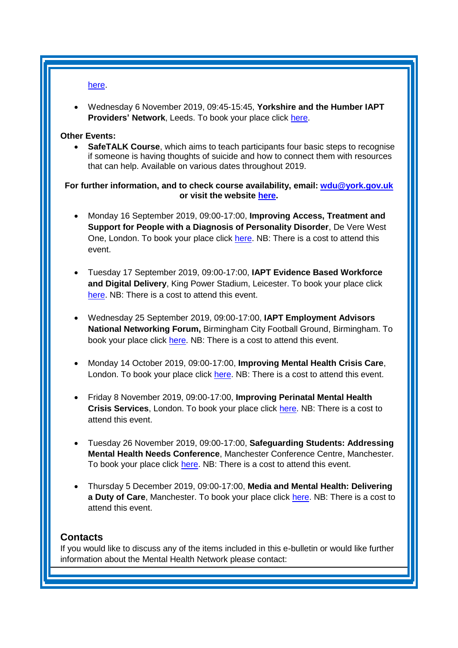[here.](https://www.eventbrite.co.uk/e/yorkshire-and-the-humber-crisis-and-liaison-mental-health-network-meeting-tickets-65170023294)

• Wednesday 6 November 2019, 09:45-15:45, **Yorkshire and the Humber IAPT Providers' Network**, Leeds. To book your place click [here.](https://www.eventbrite.co.uk/e/yorkshire-and-the-humber-iapt-providers-network-tickets-69181406449)

#### **Other Events:**

• **SafeTALK Course**, which aims to teach participants four basic steps to recognise if someone is having thoughts of suicide and how to connect them with resources that can help. Available on various dates throughout 2019.

**For further information, and to check course availability, email: [wdu@york.gov.uk](mailto:wdu@york.gov.uk) or visit the website [here.](http://www.yorkworkforcedevelopment.org.uk/)**

- Monday 16 September 2019, 09:00-17:00, **Improving Access, Treatment and Support for People with a Diagnosis of Personality Disorder**, De Vere West One, London. To book your place click [here.](https://www.healthcareconferencesuk.co.uk/event/1484/book) NB: There is a cost to attend this event.
- Tuesday 17 September 2019, 09:00-17:00, **IAPT Evidence Based Workforce and Digital Delivery**, King Power Stadium, Leicester. To book your place click [here.](http://www.iapt-nnf.co.uk/Home/ViewEvent/117?utm_source=SBK%20Healthcare&utm_medium=email&utm_campaign=10624934_1971PT%201st%20email&dm_i=1SB0,6BQ92,MCTTTA,OZRCV,1#agenda) NB: There is a cost to attend this event.
- Wednesday 25 September 2019, 09:00-17:00, **IAPT Employment Advisors National Networking Forum,** Birmingham City Football Ground, Birmingham. To book your place click [here.](http://www.iapt-nnf.co.uk/booking/index/115/?utm_source=SBK%20Healthcare&utm_medium=email&utm_campaign=10473874_IAPT%20Events%20April&dm_i=1SB0,68HOY,MCTTTA,OL3FN,1) NB: There is a cost to attend this event.
- Monday 14 October 2019, 09:00-17:00, **Improving Mental Health Crisis Care**, London. To book your place click [here.](https://www.healthcareconferencesuk.co.uk/conferences-masterclasses/improving-mental-health-crisis-care?utm_medium=email&utm_source=HCUKkt&utm_campaign=MentalCrisis1019) NB: There is a cost to attend this event.
- Friday 8 November 2019, 09:00-17:00, **Improving Perinatal Mental Health Crisis Services**, London. To book your place click [here.](https://www.healthcareconferencesuk.co.uk/event/1437/book) NB: There is a cost to attend this event.
- Tuesday 26 November 2019, 09:00-17:00, **Safeguarding Students: Addressing Mental Health Needs Conference**, Manchester Conference Centre, Manchester. To book your place click [here.](https://www.openforumevents.co.uk/events/2019/safeguarding-students-addressing-mental-health-needs/#book?utm_source=OFE+S3+SSMH+WC+01.07.2019+4+NHS&utm_medium=email&utm_campaign=OFE+S3+SSMH+WC+01.07.2019) NB: There is a cost to attend this event.
- Thursday 5 December 2019, 09:00-17:00, **Media and Mental Health: Delivering a Duty of Care**, Manchester. To book your place click [here.](https://www.openforumevents.co.uk/events/2019/media-mental-health-delivering-a-duty-of-care/#book?utm_source=OFE+S3+MMH19+WC+19.08.2019+4+NHS&utm_medium=email&utm_campaign=OFE+S3+MMH19+WC+19.08.2019) NB: There is a cost to attend this event.

#### <span id="page-6-0"></span>**Contacts**

If you would like to discuss any of the items included in this e-bulletin or would like further information about the Mental Health Network please contact: